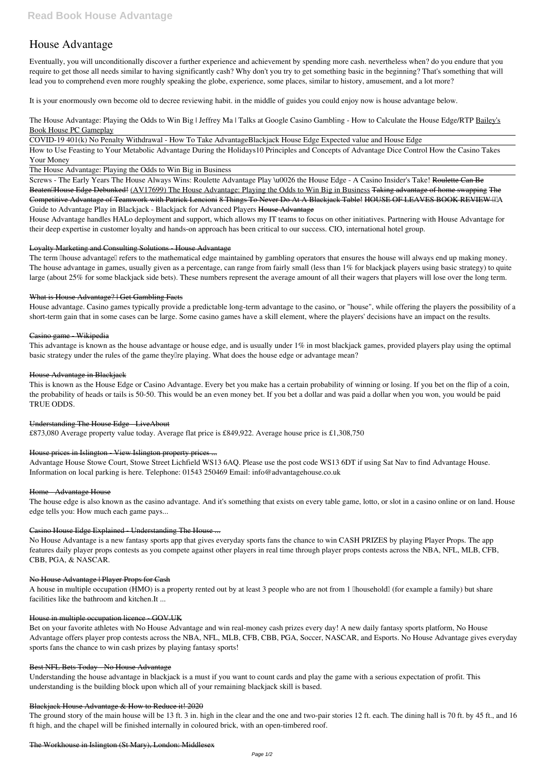# **House Advantage**

Eventually, you will unconditionally discover a further experience and achievement by spending more cash. nevertheless when? do you endure that you require to get those all needs similar to having significantly cash? Why don't you try to get something basic in the beginning? That's something that will lead you to comprehend even more roughly speaking the globe, experience, some places, similar to history, amusement, and a lot more?

It is your enormously own become old to decree reviewing habit. in the middle of guides you could enjoy now is **house advantage** below.

*The House Advantage: Playing the Odds to Win Big | Jeffrey Ma | Talks at Google* **Casino Gambling - How to Calculate the House Edge/RTP** Bailey's Book House PC Gameplay

COVID-19 401(k) No Penalty Withdrawal - How To Take Advantage*Blackjack House Edge* Expected value and House Edge

How to Use Feasting to Your Metabolic Advantage During the Holidays*10 Principles and Concepts of Advantage Dice Control* How the Casino Takes Your Money

The House Advantage: Playing the Odds to Win Big in Business

The term **Thouse** advantage<sup> $\parallel$ </sup> refers to the mathematical edge maintained by gambling operators that ensures the house will always end up making money. The house advantage in games, usually given as a percentage, can range from fairly small (less than 1% for blackjack players using basic strategy) to quite large (about 25% for some blackjack side bets). These numbers represent the average amount of all their wagers that players will lose over the long term.

Screws - The Early Years The House Always Wins: Roulette *Advantage Play \u0026 the House Edge - A Casino Insider's Take!* Roulette Can Be Beaten House Edge Debunked! (AV17699) The House Advantage: Playing the Odds to Win Big in Business Taking advantage of home swapping The Competitive Advantage of Teamwork with Patrick Lencioni 8 Things To Never Do At A Blackjack Table! HOUSE OF LEAVES BOOK REVIEW IIIA *Guide to Advantage Play in Blackjack - Blackjack for Advanced Players* House Advantage

House Advantage handles HALo deployment and support, which allows my IT teams to focus on other initiatives. Partnering with House Advantage for their deep expertise in customer loyalty and hands-on approach has been critical to our success. CIO, international hotel group.

## Loyalty Marketing and Consulting Solutions - House Advantage

A house in multiple occupation (HMO) is a property rented out by at least 3 people who are not from 1 [Ihousehold] (for example a family) but share facilities like the bathroom and kitchen.It ...

## What is House Advantage? | Get Gambling Facts

House advantage. Casino games typically provide a predictable long-term advantage to the casino, or "house", while offering the players the possibility of a short-term gain that in some cases can be large. Some casino games have a skill element, where the players' decisions have an impact on the results.

## Casino game - Wikipedia

This advantage is known as the house advantage or house edge, and is usually under 1% in most blackjack games, provided players play using the optimal basic strategy under the rules of the game they<sup> $\alpha$ </sup> playing. What does the house edge or advantage mean?

The ground story of the main house will be 13 ft. 3 in. high in the clear and the one and two-pair stories 12 ft. each. The dining hall is 70 ft. by 45 ft., and 16 ft high, and the chapel will be finished internally in coloured brick, with an open-timbered roof.

#### House Advantage in Blackjack

This is known as the House Edge or Casino Advantage. Every bet you make has a certain probability of winning or losing. If you bet on the flip of a coin, the probability of heads or tails is 50-50. This would be an even money bet. If you bet a dollar and was paid a dollar when you won, you would be paid TRUE ODDS.

#### Understanding The House Edge - LiveAbout

£873,080 Average property value today. Average flat price is £849,922. Average house price is £1,308,750

#### House prices in Islington - View Islington property prices ...

Advantage House Stowe Court, Stowe Street Lichfield WS13 6AQ. Please use the post code WS13 6DT if using Sat Nav to find Advantage House. Information on local parking is here. Telephone: 01543 250469 Email: info@advantagehouse.co.uk

#### Home - Advantage House

The house edge is also known as the casino advantage. And it's something that exists on every table game, lotto, or slot in a casino online or on land. House edge tells you: How much each game pays...

#### Casino House Edge Explained - Understanding The House ...

No House Advantage is a new fantasy sports app that gives everyday sports fans the chance to win CASH PRIZES by playing Player Props. The app features daily player props contests as you compete against other players in real time through player props contests across the NBA, NFL, MLB, CFB, CBB, PGA, & NASCAR.

#### No House Advantage | Player Props for Cash

#### House in multiple occupation licence - GOV.UK

Bet on your favorite athletes with No House Advantage and win real-money cash prizes every day! A new daily fantasy sports platform, No House Advantage offers player prop contests across the NBA, NFL, MLB, CFB, CBB, PGA, Soccer, NASCAR, and Esports. No House Advantage gives everyday sports fans the chance to win cash prizes by playing fantasy sports!

#### Best NFL Bets Today - No House Advantage

Understanding the house advantage in blackjack is a must if you want to count cards and play the game with a serious expectation of profit. This understanding is the building block upon which all of your remaining blackjack skill is based.

#### Blackjack House Advantage & How to Reduce it! 2020

#### The Workhouse in Islington (St Mary), London: Middlesex